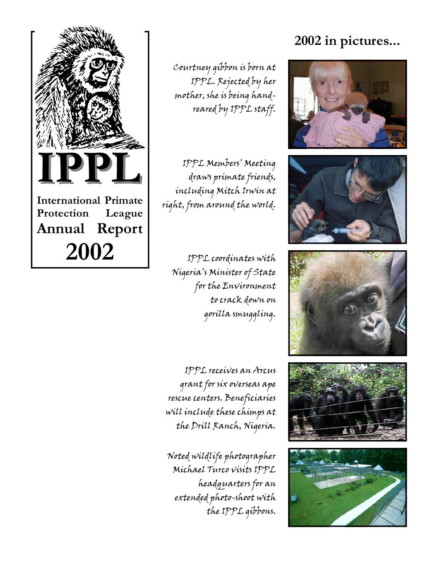

Courtney gibbon is born at IPPL. Rejected by her mother, she is being handreared by IPPL staff.

IPPL Members' Meeting draws primate friends, including Mitch Irwin at right, from around the world.

IPPL coordinates with Nigeria's Minister of State for the Environment to crack down on gorilla smuggling.

IPPL receives an Arcus grant for six overseas ape rescue centers. Beneficiaries will include these chimps at the Drill Ranch, Nigeria.

Noted wildlife photographer Michael Turco visits IPPL headquarters for an extended photo-shoot with the IPPL gibbons.

# **2002 in pictures...**









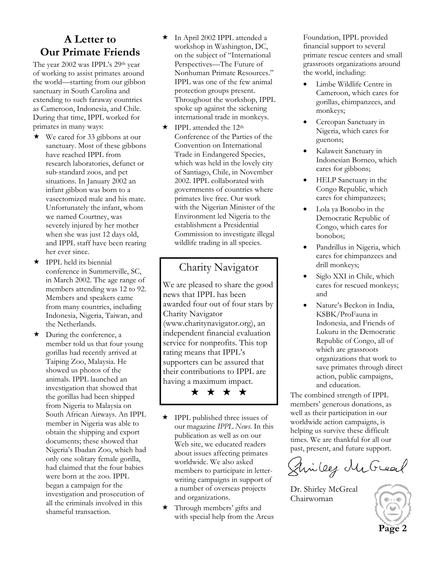### **A Letter to Our Primate Friends**

The year 2002 was IPPL's 29th year of working to assist primates around the world—starting from our gibbon sanctuary in South Carolina and extending to such faraway countries as Cameroon, Indonesia, and Chile. During that time, IPPL worked for primates in many ways:

- $\star$  We cared for 33 gibbons at our sanctuary. Most of these gibbons have reached IPPL from research laboratories, defunct or sub-standard zoos, and pet situations. In January 2002 an infant gibbon was born to a vasectomized male and his mate. Unfortunately the infant, whom we named Courtney, was severely injured by her mother when she was just 12 days old, and IPPL staff have been rearing her ever since.
- $\star$  IPPL held its biennial conference in Summerville, SC, in March 2002. The age range of members attending was 12 to 92. Members and speakers came from many countries, including Indonesia, Nigeria, Taiwan, and the Netherlands.
- $\star$  During the conference, a member told us that four young gorillas had recently arrived at Taiping Zoo, Malaysia. He showed us photos of the animals. IPPL launched an investigation that showed that the gorillas had been shipped from Nigeria to Malaysia on South African Airways. An IPPL member in Nigeria was able to obtain the shipping and export documents; these showed that Nigeria's Ibadan Zoo, which had only one solitary female gorilla, had claimed that the four babies were born at the zoo. IPPL began a campaign for the investigation and prosecution of all the criminals involved in this shameful transaction.
- In April 2002 IPPL attended a workshop in Washington, DC, on the subject of "International Perspectives—The Future of Nonhuman Primate Resources." IPPL was one of the few animal protection groups present. Throughout the workshop, IPPL spoke up against the sickening international trade in monkeys.
- $\star$  IPPL attended the 12<sup>th</sup> Conference of the Parties of the Convention on International Trade in Endangered Species, which was held in the lovely city of Santiago, Chile, in November 2002. IPPL collaborated with governments of countries where primates live free. Our work with the Nigerian Minister of the Environment led Nigeria to the establishment a Presidential Commission to investigate illegal wildlife trading in all species.

### Charity Navigator

We are pleased to share the good news that IPPL has been awarded four out of four stars by Charity Navigator (www.charitynavigator.org), an independent financial evaluation service for nonprofits. This top rating means that IPPL's supporters can be assured that their contributions to IPPL are having a maximum impact.

★ ★ ★ ★



 Through members' gifts and with special help from the Arcus Foundation, IPPL provided financial support to several primate rescue centers and small grassroots organizations around the world, including:

- Limbe Wildlife Centre in Cameroon, which cares for gorillas, chimpanzees, and monkeys;
- Cercopan Sanctuary in Nigeria, which cares for guenons;
- Kalaweit Sanctuary in Indonesian Borneo, which cares for gibbons;
- HELP Sanctuary in the Congo Republic, which cares for chimpanzees;
- Lola ya Bonobo in the Democratic Republic of Congo, which cares for bonobos;
- Pandrillus in Nigeria, which cares for chimpanzees and drill monkeys;
- Siglo XXI in Chile, which cares for rescued monkeys; and
- Nature's Beckon in India, KSBK/ProFauna in Indonesia, and Friends of Lukuru in the Democratic Republic of Congo, all of which are grassroots organizations that work to save primates through direct action, public campaigns, and education.

The combined strength of IPPL members' generous donations, as well as their participation in our worldwide action campaigns, is helping us survive these difficult times. We are thankful for all our past, present, and future support.

Sincey McGreat

Dr. Shirley McGreal Chairwoman

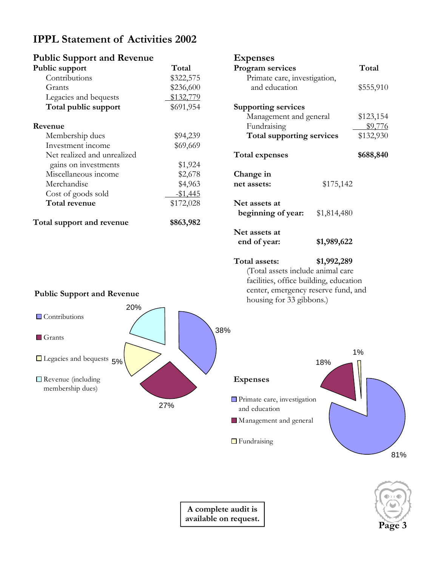# **IPPL Statement of Activities 2002**

| <b>Public Support and Revenue</b> |           | <b>Expenses</b>                   |             |           |
|-----------------------------------|-----------|-----------------------------------|-------------|-----------|
| Public support                    | Total     | Program services                  |             | Total     |
| Contributions                     | \$322,575 | Primate care, investigation,      |             |           |
| Grants                            | \$236,600 | and education                     |             | \$555,910 |
| Legacies and bequests             | \$132,779 |                                   |             |           |
| Total public support              | \$691,954 | <b>Supporting services</b>        |             |           |
|                                   |           | Management and general            |             | \$123,154 |
| Revenue                           |           | Fundraising                       |             | \$9,776   |
| Membership dues                   | \$94,239  | Total supporting services         |             | \$132,930 |
| Investment income                 | \$69,669  |                                   |             |           |
| Net realized and unrealized       |           | <b>Total expenses</b>             |             | \$688,840 |
| gains on investments              | \$1,924   |                                   |             |           |
| Miscellaneous income              | \$2,678   | Change in                         |             |           |
| Merchandise                       | \$4,963   | net assets:                       | \$175,142   |           |
| Cost of goods sold                | $-$1,445$ |                                   |             |           |
| Total revenue                     | \$172,028 | Net assets at                     |             |           |
|                                   |           | beginning of year:                | \$1,814,480 |           |
| Total support and revenue         | \$863,982 |                                   |             |           |
|                                   |           | Net assets at                     |             |           |
|                                   |           | end of year:                      | \$1,989,622 |           |
|                                   |           | Total assets:                     | \$1,992,289 |           |
|                                   |           | (Total assets include animal care |             |           |

**Public Support and Revenue**





facilities, office building, education center, emergency reserve fund, and

housing for 33 gibbons.)

**Page 3**

**A complete audit is available on request.**